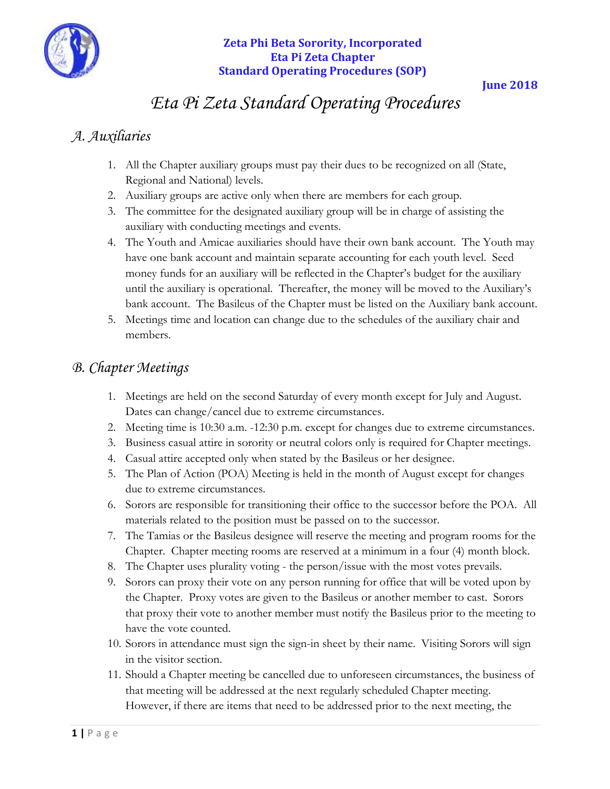

#### **June 2018**

# *Eta Pi Zeta Standard Operating Procedures*

# *A. Auxiliaries*

- 1. All the Chapter auxiliary groups must pay their dues to be recognized on all (State, Regional and National) levels.
- 2. Auxiliary groups are active only when there are members for each group.
- 3. The committee for the designated auxiliary group will be in charge of assisting the auxiliary with conducting meetings and events.
- 4. The Youth and Amicae auxiliaries should have their own bank account. The Youth may have one bank account and maintain separate accounting for each youth level. Seed money funds for an auxiliary will be reflected in the Chapter's budget for the auxiliary until the auxiliary is operational. Thereafter, the money will be moved to the Auxiliary's bank account. The Basileus of the Chapter must be listed on the Auxiliary bank account.
- 5. Meetings time and location can change due to the schedules of the auxiliary chair and members.

# *B. Chapter Meetings*

- 1. Meetings are held on the second Saturday of every month except for July and August. Dates can change/cancel due to extreme circumstances.
- 2. Meeting time is 10:30 a.m. -12:30 p.m. except for changes due to extreme circumstances.
- 3. Business casual attire in sorority or neutral colors only is required for Chapter meetings.
- 4. Casual attire accepted only when stated by the Basileus or her designee.
- 5. The Plan of Action (POA) Meeting is held in the month of August except for changes due to extreme circumstances.
- 6. Sorors are responsible for transitioning their office to the successor before the POA. All materials related to the position must be passed on to the successor.
- 7. The Tamias or the Basileus designee will reserve the meeting and program rooms for the Chapter. Chapter meeting rooms are reserved at a minimum in a four (4) month block.
- 8. The Chapter uses plurality voting the person/issue with the most votes prevails.
- 9. Sorors can proxy their vote on any person running for office that will be voted upon by the Chapter. Proxy votes are given to the Basileus or another member to cast. Sorors that proxy their vote to another member must notify the Basileus prior to the meeting to have the vote counted.
- 10. Sorors in attendance must sign the sign-in sheet by their name. Visiting Sorors will sign in the visitor section.
- 11. Should a Chapter meeting be cancelled due to unforeseen circumstances, the business of that meeting will be addressed at the next regularly scheduled Chapter meeting. However, if there are items that need to be addressed prior to the next meeting, the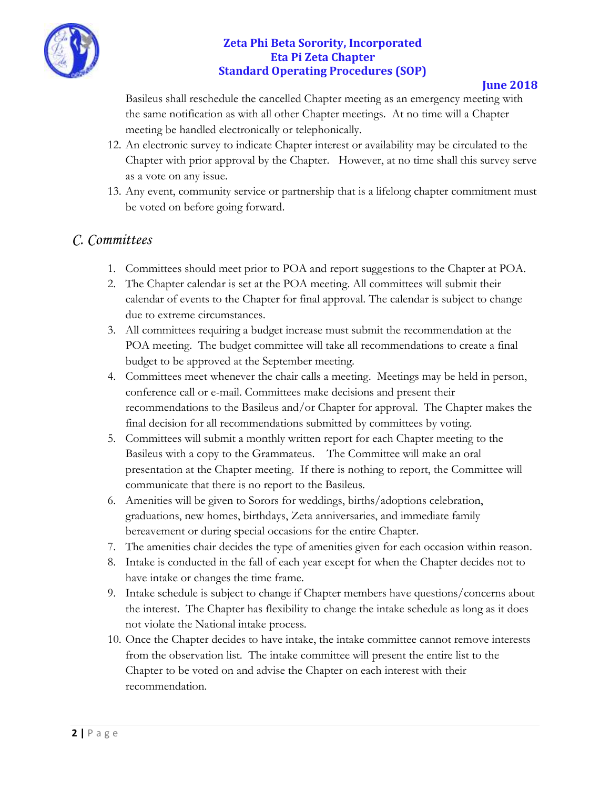

#### **June 2018**

Basileus shall reschedule the cancelled Chapter meeting as an emergency meeting with the same notification as with all other Chapter meetings. At no time will a Chapter meeting be handled electronically or telephonically.

- 12. An electronic survey to indicate Chapter interest or availability may be circulated to the Chapter with prior approval by the Chapter. However, at no time shall this survey serve as a vote on any issue.
- 13. Any event, community service or partnership that is a lifelong chapter commitment must be voted on before going forward.

## *C. Committees*

- 1. Committees should meet prior to POA and report suggestions to the Chapter at POA.
- 2. The Chapter calendar is set at the POA meeting. All committees will submit their calendar of events to the Chapter for final approval. The calendar is subject to change due to extreme circumstances.
- 3. All committees requiring a budget increase must submit the recommendation at the POA meeting. The budget committee will take all recommendations to create a final budget to be approved at the September meeting.
- 4. Committees meet whenever the chair calls a meeting. Meetings may be held in person, conference call or e-mail. Committees make decisions and present their recommendations to the Basileus and/or Chapter for approval. The Chapter makes the final decision for all recommendations submitted by committees by voting.
- 5. Committees will submit a monthly written report for each Chapter meeting to the Basileus with a copy to the Grammateus. The Committee will make an oral presentation at the Chapter meeting. If there is nothing to report, the Committee will communicate that there is no report to the Basileus.
- 6. Amenities will be given to Sorors for weddings, births/adoptions celebration, graduations, new homes, birthdays, Zeta anniversaries, and immediate family bereavement or during special occasions for the entire Chapter.
- 7. The amenities chair decides the type of amenities given for each occasion within reason.
- 8. Intake is conducted in the fall of each year except for when the Chapter decides not to have intake or changes the time frame.
- 9. Intake schedule is subject to change if Chapter members have questions/concerns about the interest. The Chapter has flexibility to change the intake schedule as long as it does not violate the National intake process.
- 10. Once the Chapter decides to have intake, the intake committee cannot remove interests from the observation list. The intake committee will present the entire list to the Chapter to be voted on and advise the Chapter on each interest with their recommendation.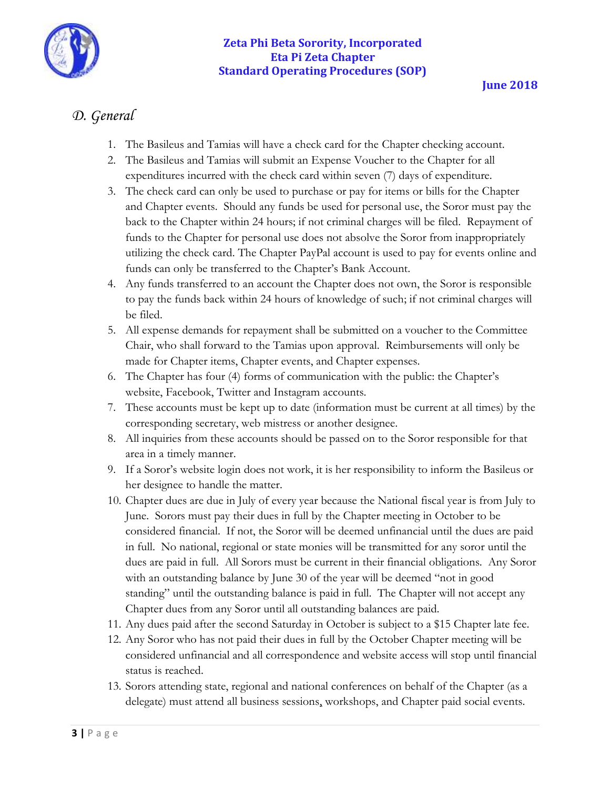

# *D. General*

- 1. The Basileus and Tamias will have a check card for the Chapter checking account.
- 2. The Basileus and Tamias will submit an Expense Voucher to the Chapter for all expenditures incurred with the check card within seven (7) days of expenditure.
- 3. The check card can only be used to purchase or pay for items or bills for the Chapter and Chapter events. Should any funds be used for personal use, the Soror must pay the back to the Chapter within 24 hours; if not criminal charges will be filed. Repayment of funds to the Chapter for personal use does not absolve the Soror from inappropriately utilizing the check card. The Chapter PayPal account is used to pay for events online and funds can only be transferred to the Chapter's Bank Account.
- 4. Any funds transferred to an account the Chapter does not own, the Soror is responsible to pay the funds back within 24 hours of knowledge of such; if not criminal charges will be filed.
- 5. All expense demands for repayment shall be submitted on a voucher to the Committee Chair, who shall forward to the Tamias upon approval. Reimbursements will only be made for Chapter items, Chapter events, and Chapter expenses.
- 6. The Chapter has four (4) forms of communication with the public: the Chapter's website, Facebook, Twitter and Instagram accounts.
- 7. These accounts must be kept up to date (information must be current at all times) by the corresponding secretary, web mistress or another designee.
- 8. All inquiries from these accounts should be passed on to the Soror responsible for that area in a timely manner.
- 9. If a Soror's website login does not work, it is her responsibility to inform the Basileus or her designee to handle the matter.
- 10. Chapter dues are due in July of every year because the National fiscal year is from July to June. Sorors must pay their dues in full by the Chapter meeting in October to be considered financial. If not, the Soror will be deemed unfinancial until the dues are paid in full. No national, regional or state monies will be transmitted for any soror until the dues are paid in full. All Sorors must be current in their financial obligations. Any Soror with an outstanding balance by June 30 of the year will be deemed "not in good standing" until the outstanding balance is paid in full. The Chapter will not accept any Chapter dues from any Soror until all outstanding balances are paid.
- 11. Any dues paid after the second Saturday in October is subject to a \$15 Chapter late fee.
- 12. Any Soror who has not paid their dues in full by the October Chapter meeting will be considered unfinancial and all correspondence and website access will stop until financial status is reached.
- 13. Sorors attending state, regional and national conferences on behalf of the Chapter (as a delegate) must attend all business sessions, workshops, and Chapter paid social events.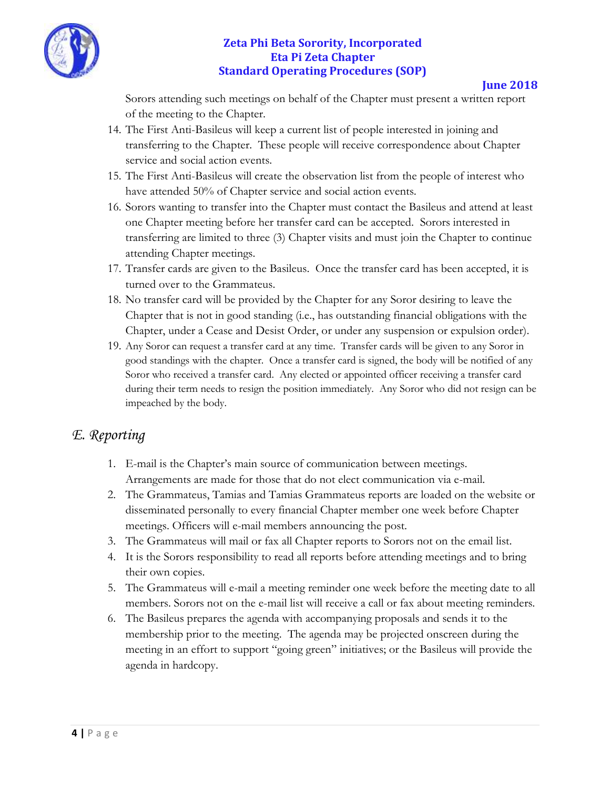

**June 2018**

Sorors attending such meetings on behalf of the Chapter must present a written report of the meeting to the Chapter.

- 14. The First Anti-Basileus will keep a current list of people interested in joining and transferring to the Chapter. These people will receive correspondence about Chapter service and social action events.
- 15. The First Anti-Basileus will create the observation list from the people of interest who have attended 50% of Chapter service and social action events.
- 16. Sorors wanting to transfer into the Chapter must contact the Basileus and attend at least one Chapter meeting before her transfer card can be accepted.Sorors interested in transferring are limited to three (3) Chapter visits and must join the Chapter to continue attending Chapter meetings.
- 17. Transfer cards are given to the Basileus. Once the transfer card has been accepted, it is turned over to the Grammateus.
- 18. No transfer card will be provided by the Chapter for any Soror desiring to leave the Chapter that is not in good standing (i.e., has outstanding financial obligations with the Chapter, under a Cease and Desist Order, or under any suspension or expulsion order).
- 19. Any Soror can request a transfer card at any time. Transfer cards will be given to any Soror in good standings with the chapter. Once a transfer card is signed, the body will be notified of any Soror who received a transfer card. Any elected or appointed officer receiving a transfer card during their term needs to resign the position immediately. Any Soror who did not resign can be impeached by the body.

# *E. Reporting*

- 1. E-mail is the Chapter's main source of communication between meetings. Arrangements are made for those that do not elect communication via e-mail.
- 2. The Grammateus, Tamias and Tamias Grammateus reports are loaded on the website or disseminated personally to every financial Chapter member one week before Chapter meetings. Officers will e-mail members announcing the post.
- 3. The Grammateus will mail or fax all Chapter reports to Sorors not on the email list.
- 4. It is the Sorors responsibility to read all reports before attending meetings and to bring their own copies.
- 5. The Grammateus will e-mail a meeting reminder one week before the meeting date to all members. Sorors not on the e-mail list will receive a call or fax about meeting reminders.
- 6. The Basileus prepares the agenda with accompanying proposals and sends it to the membership prior to the meeting. The agenda may be projected onscreen during the meeting in an effort to support "going green" initiatives; or the Basileus will provide the agenda in hardcopy.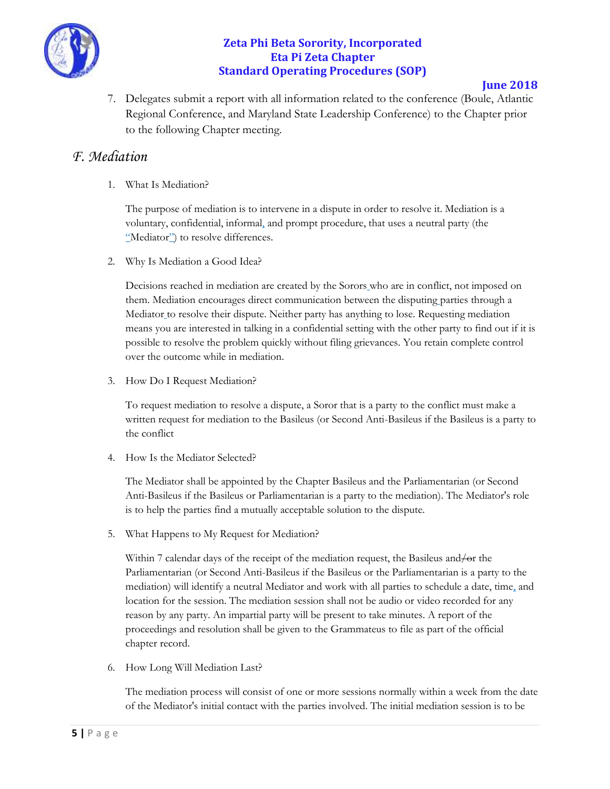

#### **June 2018**

7. Delegates submit a report with all information related to the conference (Boule, Atlantic Regional Conference, and Maryland State Leadership Conference) to the Chapter prior to the following Chapter meeting.

### *F. Mediation*

1. What Is Mediation?

The purpose of mediation is to intervene in a dispute in order to resolve it. Mediation is a voluntary, confidential, informal, and prompt procedure, that uses a neutral party (the "Mediator") to resolve differences.

2. Why Is Mediation a Good Idea?

Decisions reached in mediation are created by the Sorors who are in conflict, not imposed on them. Mediation encourages direct communication between the disputing parties through a Mediator to resolve their dispute. Neither party has anything to lose. Requesting mediation means you are interested in talking in a confidential setting with the other party to find out if it is possible to resolve the problem quickly without filing grievances. You retain complete control over the outcome while in mediation.

3. How Do I Request Mediation?

To request mediation to resolve a dispute, a Soror that is a party to the conflict must make a written request for mediation to the Basileus (or Second Anti-Basileus if the Basileus is a party to the conflict

4. How Is the Mediator Selected?

The Mediator shall be appointed by the Chapter Basileus and the Parliamentarian (or Second Anti-Basileus if the Basileus or Parliamentarian is a party to the mediation). The Mediator's role is to help the parties find a mutually acceptable solution to the dispute.

5. What Happens to My Request for Mediation?

Within 7 calendar days of the receipt of the mediation request, the Basileus and/or the Parliamentarian (or Second Anti-Basileus if the Basileus or the Parliamentarian is a party to the mediation) will identify a neutral Mediator and work with all parties to schedule a date, time, and location for the session. The mediation session shall not be audio or video recorded for any reason by any party. An impartial party will be present to take minutes. A report of the proceedings and resolution shall be given to the Grammateus to file as part of the official chapter record.

6. How Long Will Mediation Last?

The mediation process will consist of one or more sessions normally within a week from the date of the Mediator's initial contact with the parties involved. The initial mediation session is to be